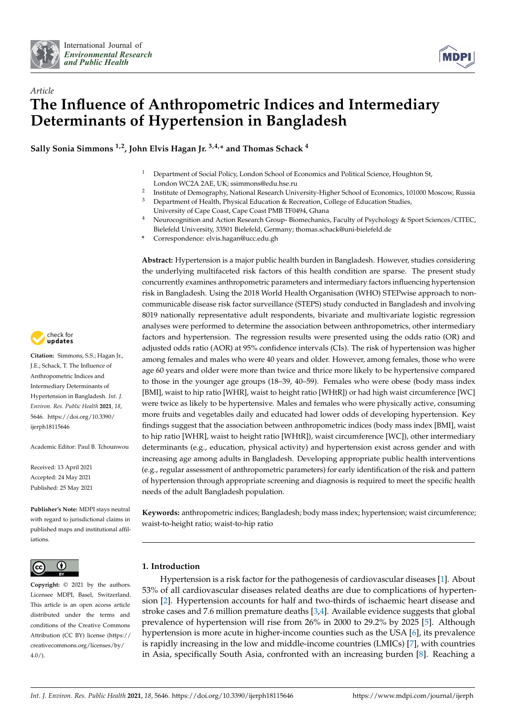



# *Article* **The Influence of Anthropometric Indices and Intermediary Determinants of Hypertension in Bangladesh**

**Sally Sonia Simmons 1,2, John Elvis Hagan Jr. 3,4,\* and Thomas Schack <sup>4</sup>**

- <sup>1</sup> Department of Social Policy, London School of Economics and Political Science, Houghton St, London WC2A 2AE, UK; ssimmons@edu.hse.ru
- 2 Institute of Demography, National Research University-Higher School of Economics, 101000 Moscow, Russia
- <sup>3</sup> Department of Health, Physical Education & Recreation, College of Education Studies, University of Cape Coast, Cape Coast PMB TF0494, Ghana
- <sup>4</sup> Neurocognition and Action Research Group- Biomechanics, Faculty of Psychology & Sport Sciences/CITEC, Bielefeld University, 33501 Bielefeld, Germany; thomas.schack@uni-bielefeld.de
- **\*** Correspondence: elvis.hagan@ucc.edu.gh

**Abstract:** Hypertension is a major public health burden in Bangladesh. However, studies considering the underlying multifaceted risk factors of this health condition are sparse. The present study concurrently examines anthropometric parameters and intermediary factors influencing hypertension risk in Bangladesh. Using the 2018 World Health Organisation (WHO) STEPwise approach to noncommunicable disease risk factor surveillance (STEPS) study conducted in Bangladesh and involving 8019 nationally representative adult respondents, bivariate and multivariate logistic regression analyses were performed to determine the association between anthropometrics, other intermediary factors and hypertension. The regression results were presented using the odds ratio (OR) and adjusted odds ratio (AOR) at 95% confidence intervals (CIs). The risk of hypertension was higher among females and males who were 40 years and older. However, among females, those who were age 60 years and older were more than twice and thrice more likely to be hypertensive compared to those in the younger age groups (18–39, 40–59). Females who were obese (body mass index [BMI], waist to hip ratio [WHR], waist to height ratio [WHtR]) or had high waist circumference [WC] were twice as likely to be hypertensive. Males and females who were physically active, consuming more fruits and vegetables daily and educated had lower odds of developing hypertension. Key findings suggest that the association between anthropometric indices (body mass index [BMI], waist to hip ratio [WHR], waist to height ratio [WHtR]), waist circumference [WC]), other intermediary determinants (e.g., education, physical activity) and hypertension exist across gender and with increasing age among adults in Bangladesh. Developing appropriate public health interventions (e.g., regular assessment of anthropometric parameters) for early identification of the risk and pattern of hypertension through appropriate screening and diagnosis is required to meet the specific health needs of the adult Bangladesh population.

**Keywords:** anthropometric indices; Bangladesh; body mass index; hypertension; waist circumference; waist-to-height ratio; waist-to-hip ratio

# **1. Introduction**

Hypertension is a risk factor for the pathogenesis of cardiovascular diseases [\[1\]](#page-9-0). About 53% of all cardiovascular diseases related deaths are due to complications of hypertension [\[2\]](#page-9-1). Hypertension accounts for half and two-thirds of ischaemic heart disease and stroke cases and 7.6 million premature deaths [\[3,](#page-9-2)[4\]](#page-9-3). Available evidence suggests that global prevalence of hypertension will rise from 26% in 2000 to 29.2% by 2025 [\[5\]](#page-9-4). Although hypertension is more acute in higher-income counties such as the USA [\[6\]](#page-9-5), its prevalence is rapidly increasing in the low and middle-income countries (LMICs) [\[7\]](#page-9-6), with countries in Asia, specifically South Asia, confronted with an increasing burden [\[8\]](#page-9-7). Reaching a



**Citation:** Simmons, S.S.; Hagan Jr., J.E.; Schack, T. The Influence of Anthropometric Indices and Intermediary Determinants of Hypertension in Bangladesh. *Int. J. Environ. Res. Public Health* **2021**, *18*, 5646. [https://doi.org/10.3390/](https://doi.org/10.3390/ijerph18115646) [ijerph18115646](https://doi.org/10.3390/ijerph18115646)

Academic Editor: Paul B. Tchounwou

Received: 13 April 2021 Accepted: 24 May 2021 Published: 25 May 2021

**Publisher's Note:** MDPI stays neutral with regard to jurisdictional claims in published maps and institutional affiliations.



**Copyright:** © 2021 by the authors. Licensee MDPI, Basel, Switzerland. This article is an open access article distributed under the terms and conditions of the Creative Commons Attribution (CC BY) license (https:/[/](https://creativecommons.org/licenses/by/4.0/) [creativecommons.org/licenses/by/](https://creativecommons.org/licenses/by/4.0/)  $4.0/$ ).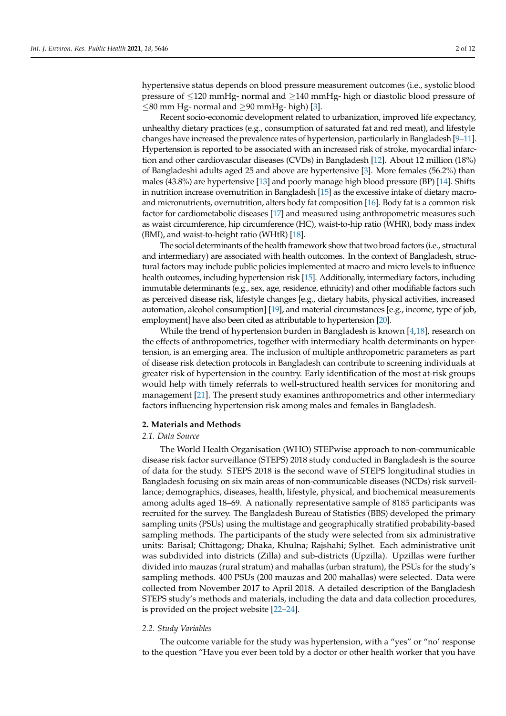hypertensive status depends on blood pressure measurement outcomes (i.e., systolic blood pressure of ≤120 mmHg- normal and ≥140 mmHg- high or diastolic blood pressure of ≤80 mm Hg- normal and ≥90 mmHg- high) [\[3\]](#page-9-2).

Recent socio-economic development related to urbanization, improved life expectancy, unhealthy dietary practices (e.g., consumption of saturated fat and red meat), and lifestyle changes have increased the prevalence rates of hypertension, particularly in Bangladesh [\[9–](#page-9-8)[11\]](#page-9-9). Hypertension is reported to be associated with an increased risk of stroke, myocardial infarction and other cardiovascular diseases (CVDs) in Bangladesh [\[12\]](#page-9-10). About 12 million (18%) of Bangladeshi adults aged 25 and above are hypertensive [\[3\]](#page-9-2). More females (56.2%) than males (43.8%) are hypertensive [\[13\]](#page-9-11) and poorly manage high blood pressure (BP) [\[14\]](#page-9-12). Shifts in nutrition increase overnutrition in Bangladesh [\[15\]](#page-9-13) as the excessive intake of dietary macroand micronutrients, overnutrition, alters body fat composition [\[16\]](#page-9-14). Body fat is a common risk factor for cardiometabolic diseases [\[17\]](#page-9-15) and measured using anthropometric measures such as waist circumference, hip circumference (HC), waist-to-hip ratio (WHR), body mass index (BMI), and waist-to-height ratio (WHtR) [\[18\]](#page-9-16).

The social determinants of the health framework show that two broad factors (i.e., structural and intermediary) are associated with health outcomes. In the context of Bangladesh, structural factors may include public policies implemented at macro and micro levels to influence health outcomes, including hypertension risk [\[15\]](#page-9-13). Additionally, intermediary factors, including immutable determinants (e.g., sex, age, residence, ethnicity) and other modifiable factors such as perceived disease risk, lifestyle changes [e.g., dietary habits, physical activities, increased automation, alcohol consumption] [\[19\]](#page-9-17), and material circumstances [e.g., income, type of job, employment] have also been cited as attributable to hypertension [\[20\]](#page-9-18).

While the trend of hypertension burden in Bangladesh is known [\[4](#page-9-3)[,18\]](#page-9-16), research on the effects of anthropometrics, together with intermediary health determinants on hypertension, is an emerging area. The inclusion of multiple anthropometric parameters as part of disease risk detection protocols in Bangladesh can contribute to screening individuals at greater risk of hypertension in the country. Early identification of the most at-risk groups would help with timely referrals to well-structured health services for monitoring and management [\[21\]](#page-10-0). The present study examines anthropometrics and other intermediary factors influencing hypertension risk among males and females in Bangladesh.

# **2. Materials and Methods**

# *2.1. Data Source*

The World Health Organisation (WHO) STEPwise approach to non-communicable disease risk factor surveillance (STEPS) 2018 study conducted in Bangladesh is the source of data for the study. STEPS 2018 is the second wave of STEPS longitudinal studies in Bangladesh focusing on six main areas of non-communicable diseases (NCDs) risk surveillance; demographics, diseases, health, lifestyle, physical, and biochemical measurements among adults aged 18–69. A nationally representative sample of 8185 participants was recruited for the survey. The Bangladesh Bureau of Statistics (BBS) developed the primary sampling units (PSUs) using the multistage and geographically stratified probability-based sampling methods. The participants of the study were selected from six administrative units: Barisal; Chittagong; Dhaka, Khulna; Rajshahi; Sylhet. Each administrative unit was subdivided into districts (Zilla) and sub-districts (Upzilla). Upzillas were further divided into mauzas (rural stratum) and mahallas (urban stratum), the PSUs for the study's sampling methods. 400 PSUs (200 mauzas and 200 mahallas) were selected. Data were collected from November 2017 to April 2018. A detailed description of the Bangladesh STEPS study's methods and materials, including the data and data collection procedures, is provided on the project website [\[22](#page-10-1)[–24\]](#page-10-2).

#### *2.2. Study Variables*

The outcome variable for the study was hypertension, with a "yes" or "no' response to the question "Have you ever been told by a doctor or other health worker that you have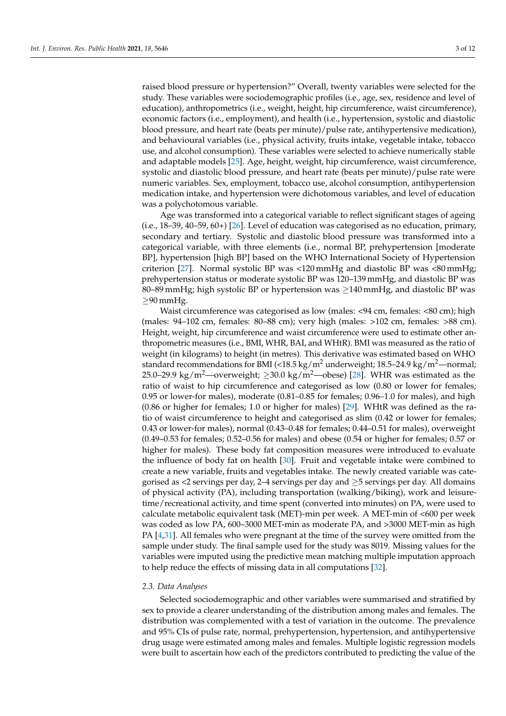raised blood pressure or hypertension?" Overall, twenty variables were selected for the study. These variables were sociodemographic profiles (i.e., age, sex, residence and level of education), anthropometrics (i.e., weight, height, hip circumference, waist circumference), economic factors (i.e., employment), and health (i.e., hypertension, systolic and diastolic blood pressure, and heart rate (beats per minute)/pulse rate, antihypertensive medication), and behavioural variables (i.e., physical activity, fruits intake, vegetable intake, tobacco use, and alcohol consumption). These variables were selected to achieve numerically stable and adaptable models [\[25\]](#page-10-3). Age, height, weight, hip circumference, waist circumference, systolic and diastolic blood pressure, and heart rate (beats per minute)/pulse rate were numeric variables. Sex, employment, tobacco use, alcohol consumption, antihypertension medication intake, and hypertension were dichotomous variables, and level of education was a polychotomous variable.

Age was transformed into a categorical variable to reflect significant stages of ageing (i.e., 18–39, 40–59, 60+) [\[26\]](#page-10-4). Level of education was categorised as no education, primary, secondary and tertiary. Systolic and diastolic blood pressure was transformed into a categorical variable, with three elements (i.e., normal BP, prehypertension [moderate BP], hypertension [high BP] based on the WHO International Society of Hypertension criterion [\[27\]](#page-10-5). Normal systolic BP was <120 mmHg and diastolic BP was <80 mmHg; prehypertension status or moderate systolic BP was 120–139 mmHg, and diastolic BP was 80–89 mmHg; high systolic BP or hypertension was  $\geq$ 140 mmHg, and diastolic BP was ≥90 mmHg.

Waist circumference was categorised as low (males: <94 cm, females: <80 cm); high (males: 94–102 cm, females: 80–88 cm); very high (males: >102 cm, females: >88 cm). Height, weight, hip circumference and waist circumference were used to estimate other anthropometric measures (i.e., BMI, WHR, BAI, and WHtR). BMI was measured as the ratio of weight (in kilograms) to height (in metres). This derivative was estimated based on WHO standard recommendations for BMI (<18.5 kg/m<sup>2</sup> underweight; 18.5–24.9 kg/m<sup>2</sup>—normal; 25.0–29.9 kg/m<sup>2</sup>—overweight;  $\geq$ 30.0 kg/m<sup>2</sup>—obese) [\[28\]](#page-10-6). WHR was estimated as the ratio of waist to hip circumference and categorised as low (0.80 or lower for females; 0.95 or lower-for males), moderate (0.81–0.85 for females; 0.96–1.0 for males), and high (0.86 or higher for females; 1.0 or higher for males) [\[29\]](#page-10-7). WHtR was defined as the ratio of waist circumference to height and categorised as slim (0.42 or lower for females; 0.43 or lower-for males), normal (0.43–0.48 for females; 0.44–0.51 for males), overweight (0.49–0.53 for females; 0.52–0.56 for males) and obese (0.54 or higher for females; 0.57 or higher for males). These body fat composition measures were introduced to evaluate the influence of body fat on health [\[30\]](#page-10-8). Fruit and vegetable intake were combined to create a new variable, fruits and vegetables intake. The newly created variable was categorised as  $\lt 2$  servings per day, 2–4 servings per day and  $\geq 5$  servings per day. All domains of physical activity (PA), including transportation (walking/biking), work and leisuretime/recreational activity, and time spent (converted into minutes) on PA, were used to calculate metabolic equivalent task (MET)-min per week. A MET-min of <600 per week was coded as low PA, 600–3000 MET-min as moderate PA, and >3000 MET-min as high PA  $[4,31]$  $[4,31]$ . All females who were pregnant at the time of the survey were omitted from the sample under study. The final sample used for the study was 8019. Missing values for the variables were imputed using the predictive mean matching multiple imputation approach to help reduce the effects of missing data in all computations [\[32\]](#page-10-10).

#### *2.3. Data Analyses*

Selected sociodemographic and other variables were summarised and stratified by sex to provide a clearer understanding of the distribution among males and females. The distribution was complemented with a test of variation in the outcome. The prevalence and 95% CIs of pulse rate, normal, prehypertension, hypertension, and antihypertensive drug usage were estimated among males and females. Multiple logistic regression models were built to ascertain how each of the predictors contributed to predicting the value of the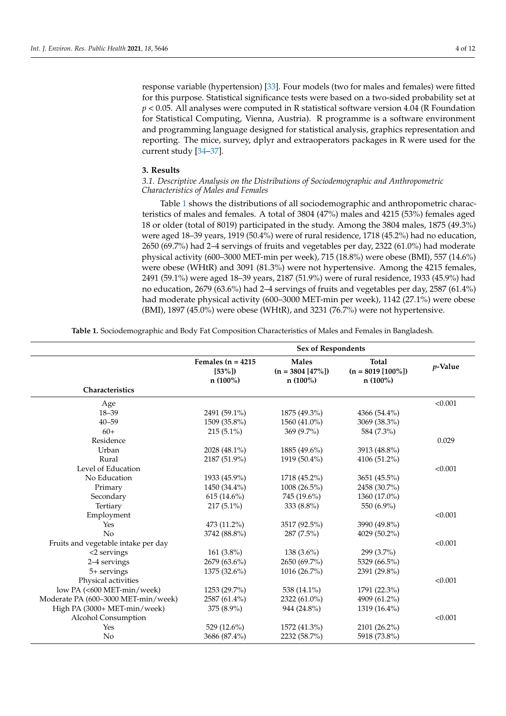response variable (hypertension) [\[33\]](#page-10-11). Four models (two for males and females) were fitted for this purpose. Statistical significance tests were based on a two-sided probability set at *p* < 0.05. All analyses were computed in R statistical software version 4.04 (R Foundation for Statistical Computing, Vienna, Austria). R programme is a software environment and programming language designed for statistical analysis, graphics representation and reporting. The mice, survey, dplyr and extraoperators packages in R were used for the current study [\[34–](#page-10-12)[37\]](#page-10-13).

# **3. Results**

# *3.1. Descriptive Analysis on the Distributions of Sociodemographic and Anthropometric Characteristics of Males and Females*

Table [1](#page-4-0) shows the distributions of all sociodemographic and anthropometric characteristics of males and females. A total of 3804 (47%) males and 4215 (53%) females aged 18 or older (total of 8019) participated in the study. Among the 3804 males, 1875 (49.3%) were aged 18–39 years, 1919 (50.4%) were of rural residence, 1718 (45.2%) had no education, 2650 (69.7%) had 2–4 servings of fruits and vegetables per day, 2322 (61.0%) had moderate physical activity (600–3000 MET-min per week), 715 (18.8%) were obese (BMI), 557 (14.6%) were obese (WHtR) and 3091 (81.3%) were not hypertensive. Among the 4215 females, 2491 (59.1%) were aged 18–39 years, 2187 (51.9%) were of rural residence, 1933 (45.9%) had no education, 2679 (63.6%) had 2–4 servings of fruits and vegetables per day, 2587 (61.4%) had moderate physical activity (600–3000 MET-min per week), 1142 (27.1%) were obese (BMI), 1897 (45.0%) were obese (WHtR), and 3231 (76.7%) were not hypertensive.

**Table 1.** Sociodemographic and Body Fat Composition Characteristics of Males and Females in Bangladesh.

|                                     | <b>Sex of Respondents</b>                      |                                                   |                                                    |         |
|-------------------------------------|------------------------------------------------|---------------------------------------------------|----------------------------------------------------|---------|
|                                     | Females ( $n = 4215$<br>$[53\%]$<br>$n(100\%)$ | <b>Males</b><br>$(n = 3804 [47\%])$<br>$n(100\%)$ | <b>Total</b><br>$(n = 8019 [100\%])$<br>$n(100\%)$ | p-Value |
| Characteristics                     |                                                |                                                   |                                                    |         |
| Age                                 |                                                |                                                   |                                                    | < 0.001 |
| $18 - 39$                           | 2491 (59.1%)                                   | 1875 (49.3%)                                      | 4366 (54.4%)                                       |         |
| $40 - 59$                           | 1509 (35.8%)                                   | 1560 (41.0%)                                      | 3069 (38.3%)                                       |         |
| $60+$                               | $215(5.1\%)$                                   | $369(9.7\%)$                                      | 584 (7.3%)                                         |         |
| Residence                           |                                                |                                                   |                                                    | 0.029   |
| Urban                               | 2028 (48.1%)                                   | 1885 (49.6%)                                      | 3913 (48.8%)                                       |         |
| Rural                               | 2187 (51.9%)                                   | 1919 (50.4%)                                      | 4106 (51.2%)                                       |         |
| Level of Education                  |                                                |                                                   |                                                    | < 0.001 |
| No Education                        | 1933 (45.9%)                                   | 1718 (45.2%)                                      | 3651 (45.5%)                                       |         |
| Primary                             | 1450 (34.4%)                                   | 1008 (26.5%)                                      | 2458 (30.7%)                                       |         |
| Secondary                           | $615(14.6\%)$                                  | 745 (19.6%)                                       | 1360 (17.0%)                                       |         |
| Tertiary                            | $217(5.1\%)$                                   | 333 (8.8%)                                        | 550 (6.9%)                                         |         |
| Employment                          |                                                |                                                   |                                                    | < 0.001 |
| Yes                                 | 473 (11.2%)                                    | 3517 (92.5%)                                      | 3990 (49.8%)                                       |         |
| No                                  | 3742 (88.8%)                                   | $287(7.5\%)$                                      | 4029 (50.2%)                                       |         |
| Fruits and vegetable intake per day |                                                |                                                   |                                                    | < 0.001 |
| <2 servings                         | 161 $(3.8\%)$                                  | $138(3.6\%)$                                      | 299 (3.7%)                                         |         |
| 2-4 servings                        | 2679 (63.6%)                                   | 2650 (69.7%)                                      | 5329 (66.5%)                                       |         |
| 5+ servings                         | 1375 (32.6%)                                   | 1016 (26.7%)                                      | 2391 (29.8%)                                       |         |
| Physical activities                 |                                                |                                                   |                                                    | < 0.001 |
| low PA (<600 MET-min/week)          | $1253(29.7\%)$                                 | 538 (14.1%)                                       | 1791 (22.3%)                                       |         |
| Moderate PA (600-3000 MET-min/week) | 2587 (61.4%)                                   | 2322 (61.0%)                                      | 4909 (61.2%)                                       |         |
| High PA (3000+ MET-min/week)        | 375 (8.9%)                                     | 944 (24.8%)                                       | 1319 (16.4%)                                       |         |
| Alcohol Consumption                 |                                                |                                                   |                                                    | < 0.001 |
| Yes                                 | 529 (12.6%)                                    | 1572 (41.3%)                                      | 2101 (26.2%)                                       |         |
| No                                  | 3686 (87.4%)                                   | 2232 (58.7%)                                      | 5918 (73.8%)                                       |         |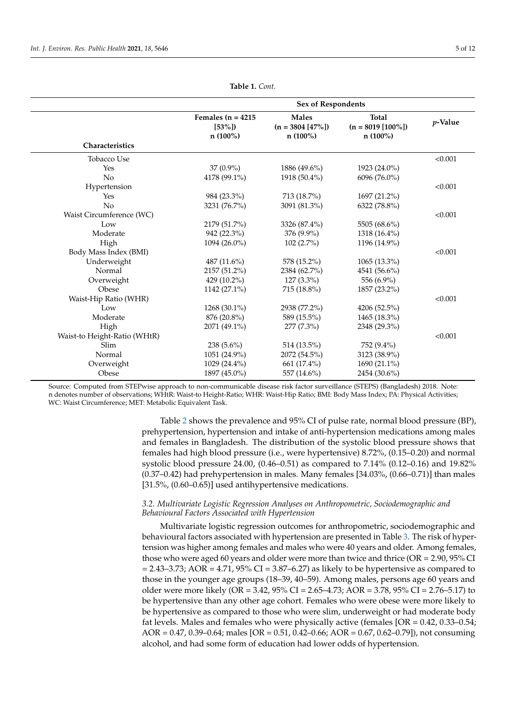<span id="page-4-0"></span>

|                              | <b>Sex of Respondents</b>                      |                                                   |                                                    |            |
|------------------------------|------------------------------------------------|---------------------------------------------------|----------------------------------------------------|------------|
|                              | Females $(n = 4215)$<br>$[53\%]$<br>$n(100\%)$ | <b>Males</b><br>$(n = 3804 [47\%])$<br>$n(100\%)$ | <b>Total</b><br>$(n = 8019 [100\%])$<br>$n(100\%)$ | $p$ -Value |
| Characteristics              |                                                |                                                   |                                                    |            |
| <b>Tobacco Use</b>           |                                                |                                                   |                                                    | < 0.001    |
| Yes                          | $37(0.9\%)$                                    | 1886 (49.6%)                                      | 1923 (24.0%)                                       |            |
| No                           | 4178 (99.1%)                                   | 1918 (50.4%)                                      | 6096 (76.0%)                                       |            |
| Hypertension                 |                                                |                                                   |                                                    | < 0.001    |
| Yes                          | 984 (23.3%)                                    | 713 (18.7%)                                       | 1697 (21.2%)                                       |            |
| No                           | 3231 (76.7%)                                   | 3091 (81.3%)                                      | 6322 (78.8%)                                       |            |
| Waist Circumference (WC)     |                                                |                                                   |                                                    | < 0.001    |
| Low                          | 2179 (51.7%)                                   | 3326 (87.4%)                                      | 5505 (68.6%)                                       |            |
| Moderate                     | 942 (22.3%)                                    | 376 (9.9%)                                        | 1318 (16.4%)                                       |            |
| High                         | 1094 (26.0%)                                   | $102(2.7\%)$                                      | 1196 (14.9%)                                       |            |
| Body Mass Index (BMI)        |                                                |                                                   |                                                    | < 0.001    |
| Underweight                  | 487 $(11.6\%)$                                 | 578 (15.2%)                                       | 1065 (13.3%)                                       |            |
| Normal                       | 2157 (51.2%)                                   | 2384 (62.7%)                                      | 4541 (56.6%)                                       |            |
| Overweight                   | 429 $(10.2\%)$                                 | $127(3.3\%)$                                      | 556 (6.9%)                                         |            |
| Obese                        | 1142 (27.1%)                                   | 715 (18.8%)                                       | 1857 (23.2%)                                       |            |
| Waist-Hip Ratio (WHR)        |                                                |                                                   |                                                    | < 0.001    |
| Low                          | 1268 (30.1%)                                   | 2938 (77.2%)                                      | 4206 (52.5%)                                       |            |
| Moderate                     | 876 (20.8%)                                    | 589 (15.5%)                                       | 1465 (18.3%)                                       |            |
| High                         | 2071 (49.1%)                                   | $277(7.3\%)$                                      | 2348 (29.3%)                                       |            |
| Waist-to Height-Ratio (WHtR) |                                                |                                                   |                                                    | < 0.001    |
| <b>Slim</b>                  | 238 $(5.6\%)$                                  | 514 (13.5%)                                       | 752 (9.4%)                                         |            |
| Normal                       | 1051 (24.9%)                                   | 2072 (54.5%)                                      | 3123 (38.9%)                                       |            |
| Overweight                   | 1029 (24.4%)                                   | 661 (17.4%)                                       | 1690 (21.1%)                                       |            |
| Obese                        | 1897 (45.0%)                                   | 557 (14.6%)                                       | 2454 (30.6%)                                       |            |

**Table 1.** *Cont.*

Source: Computed from STEPwise approach to non-communicable disease risk factor surveillance (STEPS) (Bangladesh) 2018. Note: n denotes number of observations; WHtR: Waist-to Height-Ratio; WHR: Waist-Hip Ratio; BMI: Body Mass Index; PA: Physical Activities; WC: Waist Circumference; MET: Metabolic Equivalent Task.

> Table [2](#page-5-0) shows the prevalence and 95% CI of pulse rate, normal blood pressure (BP), prehypertension, hypertension and intake of anti-hypertension medications among males and females in Bangladesh. The distribution of the systolic blood pressure shows that females had high blood pressure (i.e., were hypertensive) 8.72%, (0.15–0.20) and normal systolic blood pressure 24.00, (0.46–0.51) as compared to 7.14% (0.12–0.16) and 19.82%  $(0.37-0.42)$  had prehypertension in males. Many females  $[34.03\%, (0.66-0.71)]$  than males [31.5%, (0.60–0.65)] used antihypertensive medications.

# *3.2. Multivariate Logistic Regression Analyses on Anthropometric, Sociodemographic and Behavioural Factors Associated with Hypertension*

Multivariate logistic regression outcomes for anthropometric, sociodemographic and behavioural factors associated with hypertension are presented in Table [3.](#page-6-0) The risk of hypertension was higher among females and males who were 40 years and older. Among females, those who were aged 60 years and older were more than twice and thrice ( $OR = 2.90$ ,  $95\%$  CI  $= 2.43$ –3.73; AOR  $= 4.71$ , 95% CI  $= 3.87$ –6.27) as likely to be hypertensive as compared to those in the younger age groups (18–39, 40–59). Among males, persons age 60 years and older were more likely (OR = 3.42, 95% CI = 2.65–4.73; AOR = 3.78, 95% CI = 2.76–5.17) to be hypertensive than any other age cohort. Females who were obese were more likely to be hypertensive as compared to those who were slim, underweight or had moderate body fat levels. Males and females who were physically active (females [OR = 0.42, 0.33–0.54; AOR = 0.47, 0.39–0.64; males [OR = 0.51, 0.42–0.66; AOR = 0.67, 0.62–0.79]), not consuming alcohol, and had some form of education had lower odds of hypertension.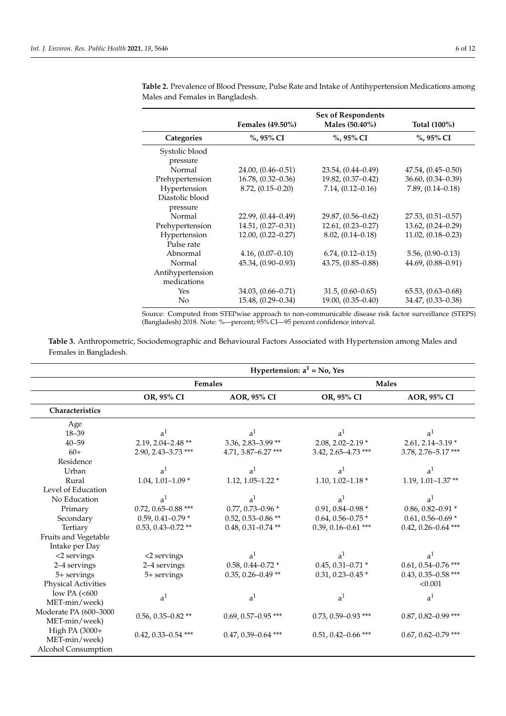| <b>Sex of Respondents</b> |                        |                        |  |
|---------------------------|------------------------|------------------------|--|
| <b>Females (49.50%)</b>   | Males (50.40%)         | Total (100%)           |  |
| $\%$ , 95% CI             | %, 95% CI              | %, 95% CI              |  |
|                           |                        |                        |  |
|                           |                        |                        |  |
| $24.00, (0.46 - 0.51)$    | $23.54, (0.44 - 0.49)$ | $47.54, (0.45 - 0.50)$ |  |
| $16.78, (0.32 - 0.36)$    | $19.82, (0.37 - 0.42)$ | $36.60, (0.34 - 0.39)$ |  |
| $8.72, (0.15 - 0.20)$     | $7.14, (0.12 - 0.16)$  | $7.89, (0.14 - 0.18)$  |  |
|                           |                        |                        |  |
|                           |                        |                        |  |
| $22.99, (0.44 - 0.49)$    | $29.87, (0.56 - 0.62)$ | $27.53, (0.51 - 0.57)$ |  |
| $14.51, (0.27 - 0.31)$    | $12.61, (0.23 - 0.27)$ | $13.62, (0.24 - 0.29)$ |  |
| $12.00, (0.22 - 0.27)$    | $8.02, (0.14 - 0.18)$  | $11.02, (0.18 - 0.23)$ |  |
|                           |                        |                        |  |
| $4.16, (0.07 - 0.10)$     | $6.74, (0.12 - 0.15)$  | $5.56, (0.90 - 0.13)$  |  |
| $45.34, (0.90 - 0.93)$    | $43.75, (0.85 - 0.88)$ | $44.69, (0.88 - 0.91)$ |  |
|                           |                        |                        |  |
|                           |                        |                        |  |
| $34.03, (0.66 - 0.71)$    | $31.5, (0.60 - 0.65)$  | $65.53, (0.63 - 0.68)$ |  |
| $15.48, (0.29 - 0.34)$    | $19.00, (0.35 - 0.40)$ | $34.47, (0.33 - 0.38)$ |  |
|                           |                        |                        |  |

<span id="page-5-0"></span>**Table 2.** Prevalence of Blood Pressure, Pulse Rate and Intake of Antihypertension Medications among Males and Females in Bangladesh.

Source: Computed from STEPwise approach to non-communicable disease risk factor surveillance (STEPS) (Bangladesh) 2018. Note: %—percent; 95% CI—95 percent confidence interval.

**Table 3.** Anthropometric, Sociodemographic and Behavioural Factors Associated with Hypertension among Males and Females in Bangladesh.

|                                                        | Hypertension: $a^1$ = No, Yes |                         |                         |                         |
|--------------------------------------------------------|-------------------------------|-------------------------|-------------------------|-------------------------|
|                                                        | Females                       |                         |                         | <b>Males</b>            |
|                                                        | OR, 95% CI                    | AOR, 95% CI             | OR, 95% CI              | AOR, 95% CI             |
| <b>Characteristics</b>                                 |                               |                         |                         |                         |
| Age<br>$18 - 39$                                       | a <sup>1</sup>                | a <sup>1</sup>          | a <sup>1</sup>          | a <sup>1</sup>          |
| $40 - 59$                                              | $2.19, 2.04 - 2.48$ **        | $3.36, 2.83 - 3.99$ **  | 2.08, 2.02-2.19 $*$     | $2.61, 2.14 - 3.19*$    |
| $60+$                                                  | 2.90, 2.43-3.73 ***           | 4.71, 3.87-6.27***      | 3.42, 2.65-4.73 ***     | 3.78, 2.76-5.17***      |
| Residence                                              |                               |                         |                         |                         |
| Urban                                                  | a <sup>1</sup>                | a <sup>1</sup>          | a <sup>1</sup>          | a <sup>1</sup>          |
| Rural                                                  | 1.04, 1.01-1.09 $*$           | 1.12, 1.05-1.22 $*$     | 1.10, 1.02-1.18 $*$     | 1.19, 1.01-1.37**       |
| Level of Education                                     |                               |                         |                         |                         |
| No Education                                           | a <sup>1</sup>                | a <sup>1</sup>          | a <sup>1</sup>          | a <sup>1</sup>          |
| Primary                                                | 0.72, 0.65-0.88 ***           | $0.77, 0.73 - 0.96*$    | $0.91, 0.84 - 0.98*$    | $0.86, 0.82 - 0.91*$    |
| Secondary                                              | $0.59, 0.41 - 0.79*$          | $0.52, 0.53 - 0.86$ **  | $0.64, 0.56 - 0.75$ *   | $0.61, 0.56 - 0.69$ *   |
| Tertiary                                               | $0.53, 0.43 - 0.72$ **        | $0.48, 0.31 - 0.74$ **  | $0.39, 0.16 - 0.61$ *** | $0.42, 0.26 - 0.64$ *** |
| Fruits and Vegetable                                   |                               |                         |                         |                         |
| Intake per Day                                         |                               |                         |                         |                         |
| <2 servings                                            | <2 servings                   | a <sup>1</sup>          | a <sup>1</sup>          | a <sup>1</sup>          |
| 2-4 servings                                           | 2-4 servings                  | $0.58, 0.44 - 0.72$ *   | $0.45, 0.31 - 0.71$ *   | $0.61, 0.54 - 0.76$ *** |
| 5+ servings                                            | 5+ servings                   | $0.35, 0.26 - 0.49$ **  | $0.31, 0.23 - 0.45*$    | $0.43, 0.35 - 0.58$ *** |
| <b>Physical Activities</b>                             |                               |                         |                         | < 0.001                 |
| low PA (<600                                           | a <sup>1</sup>                | a <sup>1</sup>          | a <sup>1</sup>          | a <sup>1</sup>          |
| MET-min/week)                                          |                               |                         |                         |                         |
| Moderate PA (600-3000<br>MET-min/week)                 | $0.56, 0.35 - 0.82$ **        | $0.69, 0.57 - 0.95$ *** | $0.73, 0.59 - 0.93$ *** | $0.87, 0.82 - 0.99$ *** |
| High PA (3000+<br>MET-min/week)<br>Alcohol Consumption | $0.42, 0.33 - 0.54$ ***       | $0.47, 0.39 - 0.64$ *** | $0.51, 0.42 - 0.66$ *** | $0.67, 0.62 - 0.79$ *** |
|                                                        |                               |                         |                         |                         |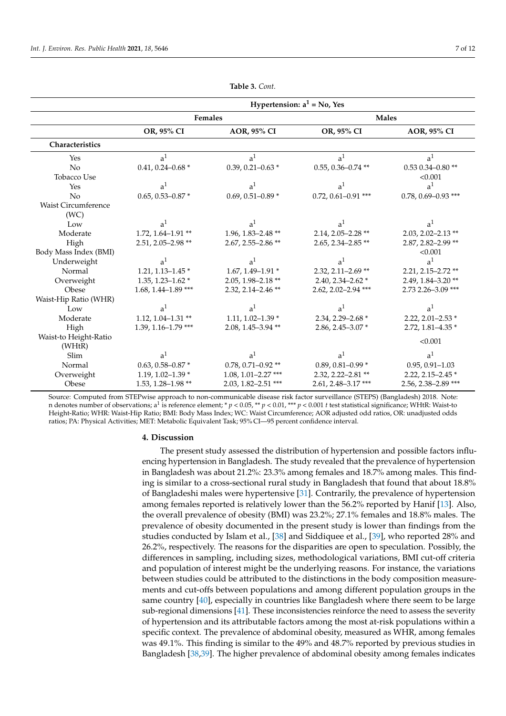<span id="page-6-0"></span>

|                                    | Hypertension: $a^1$ = No, Yes |                         |                         |                         |
|------------------------------------|-------------------------------|-------------------------|-------------------------|-------------------------|
|                                    | Females                       |                         |                         | <b>Males</b>            |
|                                    | OR, 95% CI                    | AOR, 95% CI             | OR, 95% CI              | AOR, 95% CI             |
| Characteristics                    |                               |                         |                         |                         |
| Yes                                | a <sup>1</sup>                | a <sup>1</sup>          | a <sup>1</sup>          | a <sup>1</sup>          |
| No                                 | $0.41, 0.24 - 0.68$ *         | 0.39, 0.21-0.63 $*$     | $0.55, 0.36 - 0.74$ **  | $0.53$ $0.34 - 0.80$ ** |
| Tobacco Use                        |                               |                         |                         | < 0.001                 |
| Yes                                | a <sup>1</sup>                | a <sup>1</sup>          | a <sup>1</sup>          | a <sup>1</sup>          |
| No                                 | $0.65, 0.53 - 0.87$ *         | 0.69, 0.51-0.89 $*$     | $0.72, 0.61 - 0.91$ *** | $0.78, 0.69 - 0.93$ *** |
| <b>Waist Circumference</b><br>(WC) |                               |                         |                         |                         |
| Low                                | a <sup>1</sup>                | a <sup>1</sup>          | a <sup>1</sup>          | a <sup>1</sup>          |
| Moderate                           | $1.72, 1.64 - 1.91$ **        | 1.96, 1.83-2.48 **      | $2.14, 2.05 - 2.28$ **  | $2.03, 2.02 - 2.13$ **  |
| High                               | $2.51, 2.05 - 2.98$ **        | 2.67, 2.55-2.86**       | $2.65, 2.34 - 2.85$ **  | 2.87, 2.82-2.99 **      |
| Body Mass Index (BMI)              |                               |                         |                         | < 0.001                 |
| Underweight                        | a <sup>1</sup>                | a <sup>1</sup>          | a <sup>1</sup>          | a <sup>1</sup>          |
| Normal                             | $1.21, 1.13 - 1.45$ *         | $1.67, 1.49 - 1.91*$    | $2.32, 2.11 - 2.69$ **  | 2.21, 2.15-2.72 **      |
| Overweight                         | 1.35, 1.23-1.62 $*$           | $2.05, 1.98 - 2.18$ **  | $2.40, 2.34 - 2.62$ *   | 2.49, 1.84-3.20**       |
| Obese                              | 1.68, 1.44-1.89 ***           | 2.32, 2.14-2.46**       | 2.62, 2.02-2.94 ***     | 2.73 2.26-3.09 ***      |
| Waist-Hip Ratio (WHR)              |                               |                         |                         |                         |
| Low                                | a <sup>1</sup>                | a <sup>1</sup>          | a <sup>1</sup>          | a <sup>1</sup>          |
| Moderate                           | $1.12, 1.04 - 1.31$ **        | 1.11, 1.02-1.39 $*$     | 2.34, 2.29-2.68 *       | 2.22, 2.01-2.53 $*$     |
| High                               | $1.39, 1.16 - 1.79$ ***       | $2.08, 1.45 - 3.94$ **  | 2.86, 2.45-3.07*        | 2.72, 1.81-4.35 *       |
| Waist-to Height-Ratio              |                               |                         |                         | < 0.001                 |
| (WHtR)                             |                               |                         |                         |                         |
| Slim                               | a <sup>1</sup>                | a <sup>1</sup>          | a <sup>1</sup>          | a <sup>1</sup>          |
| Normal                             | $0.63, 0.58 - 0.87$ *         | $0.78, 0.71 - 0.92$ **  | 0.89, 0.81-0.99 $*$     | $0.95, 0.91 - 1.03$     |
| Overweight                         | 1.19, 1.02-1.39 $*$           | $1.08, 1.01 - 2.27$ *** | 2.32, 2.22-2.81**       | 2.22, 2.15-2.45 $*$     |
| Obese                              | 1.53, 1.28-1.98 **            | $2.03, 1.82 - 2.51$ *** | 2.61, 2.48-3.17***      | 2.56, 2.38-2.89 ***     |

**Table 3.** *Cont.*

Source: Computed from STEPwise approach to non-communicable disease risk factor surveillance (STEPS) (Bangladesh) 2018. Note: n denotes number of observations; a<sup>1</sup> is reference element; \* *p* < 0.05, \*\* *p* < 0.01, \*\*\* *p* < 0.001 *t* test statistical significance; WHtR: Waist-to Height-Ratio; WHR: Waist-Hip Ratio; BMI: Body Mass Index; WC: Waist Circumference; AOR adjusted odd ratios, OR: unadjusted odds ratios; PA: Physical Activities; MET: Metabolic Equivalent Task; 95% CI—95 percent confidence interval.

#### **4. Discussion**

The present study assessed the distribution of hypertension and possible factors influencing hypertension in Bangladesh. The study revealed that the prevalence of hypertension in Bangladesh was about 21.2%: 23.3% among females and 18.7% among males. This finding is similar to a cross-sectional rural study in Bangladesh that found that about 18.8% of Bangladeshi males were hypertensive [\[31\]](#page-10-9). Contrarily, the prevalence of hypertension among females reported is relatively lower than the 56.2% reported by Hanif [\[13\]](#page-9-11). Also, the overall prevalence of obesity (BMI) was 23.2%; 27.1% females and 18.8% males. The prevalence of obesity documented in the present study is lower than findings from the studies conducted by Islam et al., [\[38\]](#page-10-14) and Siddiquee et al., [\[39\]](#page-10-15), who reported 28% and 26.2%, respectively. The reasons for the disparities are open to speculation. Possibly, the differences in sampling, including sizes, methodological variations, BMI cut-off criteria and population of interest might be the underlying reasons. For instance, the variations between studies could be attributed to the distinctions in the body composition measurements and cut-offs between populations and among different population groups in the same country [\[40\]](#page-10-16), especially in countries like Bangladesh where there seem to be large sub-regional dimensions [\[41\]](#page-10-17). These inconsistencies reinforce the need to assess the severity of hypertension and its attributable factors among the most at-risk populations within a specific context. The prevalence of abdominal obesity, measured as WHR, among females was 49.1%. This finding is similar to the 49% and 48.7% reported by previous studies in Bangladesh [\[38,](#page-10-14)[39\]](#page-10-15). The higher prevalence of abdominal obesity among females indicates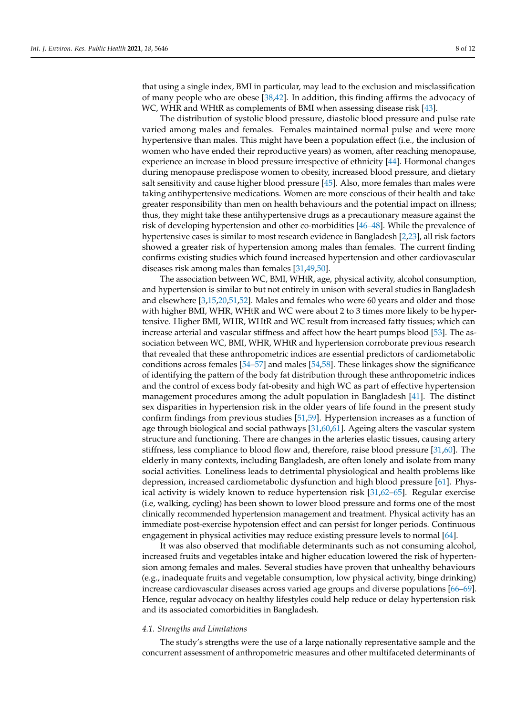that using a single index, BMI in particular, may lead to the exclusion and misclassification of many people who are obese [\[38,](#page-10-14)[42\]](#page-10-18). In addition, this finding affirms the advocacy of WC, WHR and WHtR as complements of BMI when assessing disease risk [\[43\]](#page-10-19).

The distribution of systolic blood pressure, diastolic blood pressure and pulse rate varied among males and females. Females maintained normal pulse and were more hypertensive than males. This might have been a population effect (i.e., the inclusion of women who have ended their reproductive years) as women, after reaching menopause, experience an increase in blood pressure irrespective of ethnicity [\[44\]](#page-10-20). Hormonal changes during menopause predispose women to obesity, increased blood pressure, and dietary salt sensitivity and cause higher blood pressure [\[45\]](#page-10-21). Also, more females than males were taking antihypertensive medications. Women are more conscious of their health and take greater responsibility than men on health behaviours and the potential impact on illness; thus, they might take these antihypertensive drugs as a precautionary measure against the risk of developing hypertension and other co-morbidities [\[46](#page-10-22)[–48\]](#page-11-0). While the prevalence of hypertensive cases is similar to most research evidence in Bangladesh [\[2](#page-9-1)[,23\]](#page-10-23), all risk factors showed a greater risk of hypertension among males than females. The current finding confirms existing studies which found increased hypertension and other cardiovascular diseases risk among males than females [\[31,](#page-10-9)[49,](#page-11-1)[50\]](#page-11-2).

The association between WC, BMI, WHtR, age, physical activity, alcohol consumption, and hypertension is similar to but not entirely in unison with several studies in Bangladesh and elsewhere [\[3](#page-9-2)[,15](#page-9-13)[,20](#page-9-18)[,51](#page-11-3)[,52\]](#page-11-4). Males and females who were 60 years and older and those with higher BMI, WHR, WHtR and WC were about 2 to 3 times more likely to be hypertensive. Higher BMI, WHR, WHtR and WC result from increased fatty tissues; which can increase arterial and vascular stiffness and affect how the heart pumps blood [\[53\]](#page-11-5). The association between WC, BMI, WHR, WHtR and hypertension corroborate previous research that revealed that these anthropometric indices are essential predictors of cardiometabolic conditions across females [\[54–](#page-11-6)[57\]](#page-11-7) and males [\[54](#page-11-6)[,58\]](#page-11-8). These linkages show the significance of identifying the pattern of the body fat distribution through these anthropometric indices and the control of excess body fat-obesity and high WC as part of effective hypertension management procedures among the adult population in Bangladesh [\[41\]](#page-10-17). The distinct sex disparities in hypertension risk in the older years of life found in the present study confirm findings from previous studies [\[51](#page-11-3)[,59\]](#page-11-9). Hypertension increases as a function of age through biological and social pathways [\[31](#page-10-9)[,60](#page-11-10)[,61\]](#page-11-11). Ageing alters the vascular system structure and functioning. There are changes in the arteries elastic tissues, causing artery stiffness, less compliance to blood flow and, therefore, raise blood pressure [\[31,](#page-10-9)[60\]](#page-11-10). The elderly in many contexts, including Bangladesh, are often lonely and isolate from many social activities. Loneliness leads to detrimental physiological and health problems like depression, increased cardiometabolic dysfunction and high blood pressure [\[61\]](#page-11-11). Physical activity is widely known to reduce hypertension risk [\[31,](#page-10-9)[62](#page-11-12)[–65\]](#page-11-13). Regular exercise (i.e, walking, cycling) has been shown to lower blood pressure and forms one of the most clinically recommended hypertension management and treatment. Physical activity has an immediate post-exercise hypotension effect and can persist for longer periods. Continuous engagement in physical activities may reduce existing pressure levels to normal [\[64\]](#page-11-14).

It was also observed that modifiable determinants such as not consuming alcohol, increased fruits and vegetables intake and higher education lowered the risk of hypertension among females and males. Several studies have proven that unhealthy behaviours (e.g., inadequate fruits and vegetable consumption, low physical activity, binge drinking) increase cardiovascular diseases across varied age groups and diverse populations [\[66](#page-11-15)[–69\]](#page-11-16). Hence, regular advocacy on healthy lifestyles could help reduce or delay hypertension risk and its associated comorbidities in Bangladesh.

### *4.1. Strengths and Limitations*

The study's strengths were the use of a large nationally representative sample and the concurrent assessment of anthropometric measures and other multifaceted determinants of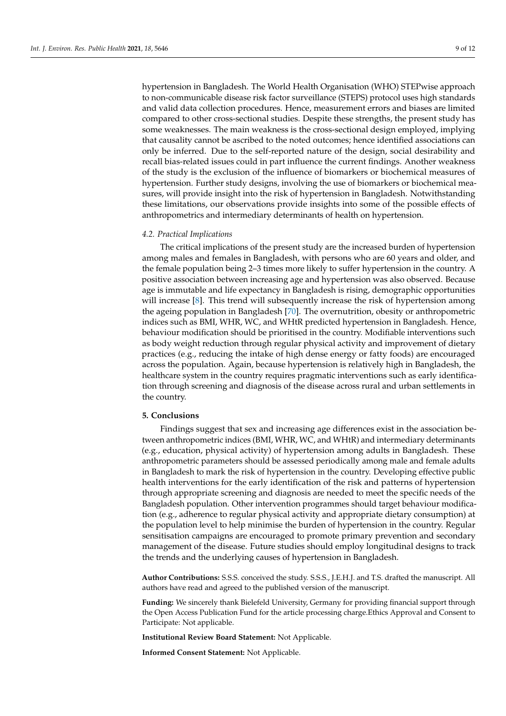hypertension in Bangladesh. The World Health Organisation (WHO) STEPwise approach to non-communicable disease risk factor surveillance (STEPS) protocol uses high standards and valid data collection procedures. Hence, measurement errors and biases are limited compared to other cross-sectional studies. Despite these strengths, the present study has some weaknesses. The main weakness is the cross-sectional design employed, implying that causality cannot be ascribed to the noted outcomes; hence identified associations can only be inferred. Due to the self-reported nature of the design, social desirability and recall bias-related issues could in part influence the current findings. Another weakness of the study is the exclusion of the influence of biomarkers or biochemical measures of hypertension. Further study designs, involving the use of biomarkers or biochemical measures, will provide insight into the risk of hypertension in Bangladesh. Notwithstanding these limitations, our observations provide insights into some of the possible effects of anthropometrics and intermediary determinants of health on hypertension.

#### *4.2. Practical Implications*

The critical implications of the present study are the increased burden of hypertension among males and females in Bangladesh, with persons who are 60 years and older, and the female population being 2–3 times more likely to suffer hypertension in the country. A positive association between increasing age and hypertension was also observed. Because age is immutable and life expectancy in Bangladesh is rising, demographic opportunities will increase [\[8\]](#page-9-7). This trend will subsequently increase the risk of hypertension among the ageing population in Bangladesh [\[70\]](#page-11-17). The overnutrition, obesity or anthropometric indices such as BMI, WHR, WC, and WHtR predicted hypertension in Bangladesh. Hence, behaviour modification should be prioritised in the country. Modifiable interventions such as body weight reduction through regular physical activity and improvement of dietary practices (e.g., reducing the intake of high dense energy or fatty foods) are encouraged across the population. Again, because hypertension is relatively high in Bangladesh, the healthcare system in the country requires pragmatic interventions such as early identification through screening and diagnosis of the disease across rural and urban settlements in the country.

#### **5. Conclusions**

Findings suggest that sex and increasing age differences exist in the association between anthropometric indices (BMI, WHR, WC, and WHtR) and intermediary determinants (e.g., education, physical activity) of hypertension among adults in Bangladesh. These anthropometric parameters should be assessed periodically among male and female adults in Bangladesh to mark the risk of hypertension in the country. Developing effective public health interventions for the early identification of the risk and patterns of hypertension through appropriate screening and diagnosis are needed to meet the specific needs of the Bangladesh population. Other intervention programmes should target behaviour modification (e.g., adherence to regular physical activity and appropriate dietary consumption) at the population level to help minimise the burden of hypertension in the country. Regular sensitisation campaigns are encouraged to promote primary prevention and secondary management of the disease. Future studies should employ longitudinal designs to track the trends and the underlying causes of hypertension in Bangladesh.

**Author Contributions:** S.S.S. conceived the study. S.S.S., J.E.H.J. and T.S. drafted the manuscript. All authors have read and agreed to the published version of the manuscript.

**Funding:** We sincerely thank Bielefeld University, Germany for providing financial support through the Open Access Publication Fund for the article processing charge.Ethics Approval and Consent to Participate: Not applicable.

**Institutional Review Board Statement:** Not Applicable.

**Informed Consent Statement:** Not Applicable.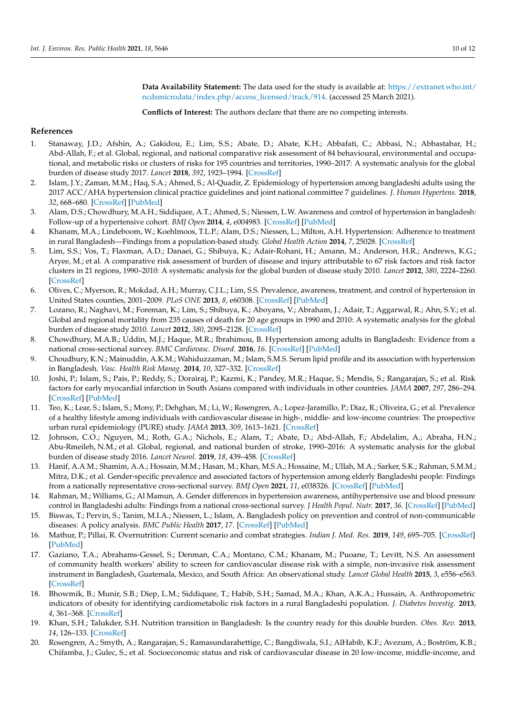**Data Availability Statement:** The data used for the study is available at: [https://extranet.who.int/](https://extranet.who.int/ncdsmicrodata/index.php/access_licensed/track/914) [ncdsmicrodata/index.php/access\\_licensed/track/914.](https://extranet.who.int/ncdsmicrodata/index.php/access_licensed/track/914) (accessed 25 March 2021).

**Conflicts of Interest:** The authors declare that there are no competing interests.

# **References**

- <span id="page-9-0"></span>1. Stanaway, J.D.; Afshin, A.; Gakidou, E.; Lim, S.S.; Abate, D.; Abate, K.H.; Abbafati, C.; Abbasi, N.; Abbastabar, H.; Abd-Allah, F.; et al. Global, regional, and national comparative risk assessment of 84 behavioural, environmental and occupational, and metabolic risks or clusters of risks for 195 countries and territories, 1990–2017: A systematic analysis for the global burden of disease study 2017. *Lancet* **2018**, *392*, 1923–1994. [\[CrossRef\]](http://doi.org/10.1016/S0140-6736(18)32225-6)
- <span id="page-9-1"></span>2. Islam, J.Y.; Zaman, M.M.; Haq, S.A.; Ahmed, S.; Al-Quadir, Z. Epidemiology of hypertension among bangladeshi adults using the 2017 ACC/AHA hypertension clinical practice guidelines and joint national committee 7 guidelines. *J. Human Hypertens.* **2018**, *32*, 668–680. [\[CrossRef\]](http://doi.org/10.1038/s41371-018-0087-5) [\[PubMed\]](http://www.ncbi.nlm.nih.gov/pubmed/30026561)
- <span id="page-9-2"></span>3. Alam, D.S.; Chowdhury, M.A.H.; Siddiquee, A.T.; Ahmed, S.; Niessen, L.W. Awareness and control of hypertension in bangladesh: Follow-up of a hypertensive cohort. *BMJ Open* **2014**, *4*, e004983. [\[CrossRef\]](http://doi.org/10.1136/bmjopen-2014-004983) [\[PubMed\]](http://www.ncbi.nlm.nih.gov/pubmed/25537780)
- <span id="page-9-3"></span>4. Khanam, M.A.; Lindeboom, W.; Koehlmoos, T.L.P.; Alam, D.S.; Niessen, L.; Milton, A.H. Hypertension: Adherence to treatment in rural Bangladesh—Findings from a population-based study. *Global Health Action* **2014**, *7*, 25028. [\[CrossRef\]](http://doi.org/10.3402/gha.v7.25028)
- <span id="page-9-4"></span>5. Lim, S.S.; Vos, T.; Flaxman, A.D.; Danaei, G.; Shibuya, K.; Adair-Rohani, H.; Amann, M.; Anderson, H.R.; Andrews, K.G.; Aryee, M.; et al. A comparative risk assessment of burden of disease and injury attributable to 67 risk factors and risk factor clusters in 21 regions, 1990–2010: A systematic analysis for the global burden of disease study 2010. *Lancet* **2012**, *380*, 2224–2260. [\[CrossRef\]](http://doi.org/10.1016/S0140-6736(12)61766-8)
- <span id="page-9-5"></span>6. Olives, C.; Myerson, R.; Mokdad, A.H.; Murray, C.J.L.; Lim, S.S. Prevalence, awareness, treatment, and control of hypertension in United States counties, 2001–2009. *PLoS ONE* **2013**, *8*, e60308. [\[CrossRef\]](http://doi.org/10.1371/journal.pone.0060308) [\[PubMed\]](http://www.ncbi.nlm.nih.gov/pubmed/23577099)
- <span id="page-9-6"></span>7. Lozano, R.; Naghavi, M.; Foreman, K.; Lim, S.; Shibuya, K.; Aboyans, V.; Abraham, J.; Adair, T.; Aggarwal, R.; Ahn, S.Y.; et al. Global and regional mortality from 235 causes of death for 20 age groups in 1990 and 2010: A systematic analysis for the global burden of disease study 2010. *Lancet* **2012**, *380*, 2095–2128. [\[CrossRef\]](http://doi.org/10.1016/S0140-6736(12)61728-0)
- <span id="page-9-7"></span>8. Chowdhury, M.A.B.; Uddin, M.J.; Haque, M.R.; Ibrahimou, B. Hypertension among adults in Bangladesh: Evidence from a national cross-sectional survey. *BMC Cardiovasc. Disord.* **2016**, *16*. [\[CrossRef\]](http://doi.org/10.1186/s12872-016-0197-3) [\[PubMed\]](http://www.ncbi.nlm.nih.gov/pubmed/26809175)
- <span id="page-9-8"></span>9. Choudhury, K.N.; Mainuddin, A.K.M.; Wahiduzzaman, M.; Islam, S.M.S. Serum lipid profile and its association with hypertension in Bangladesh. *Vasc. Health Risk Manag.* **2014**, *10*, 327–332. [\[CrossRef\]](http://doi.org/10.2147/VHRM.S61019)
- 10. Joshi, P.; Islam, S.; Pais, P.; Reddy, S.; Dorairaj, P.; Kazmi, K.; Pandey, M.R.; Haque, S.; Mendis, S.; Rangarajan, S.; et al. Risk factors for early myocardial infarction in South Asians compared with individuals in other countries. *JAMA* **2007**, *297*, 286–294. [\[CrossRef\]](http://doi.org/10.1001/jama.297.3.286) [\[PubMed\]](http://www.ncbi.nlm.nih.gov/pubmed/17227980)
- <span id="page-9-9"></span>11. Teo, K.; Lear, S.; Islam, S.; Mony, P.; Dehghan, M.; Li, W.; Rosengren, A.; Lopez-Jaramillo, P.; Diaz, R.; Oliveira, G.; et al. Prevalence of a healthy lifestyle among individuals with cardiovascular disease in high-, middle- and low-income countries: The prospective urban rural epidemiology (PURE) study. *JAMA* **2013**, *309*, 1613–1621. [\[CrossRef\]](http://doi.org/10.1001/jama.2013.3519)
- <span id="page-9-10"></span>12. Johnson, C.O.; Nguyen, M.; Roth, G.A.; Nichols, E.; Alam, T.; Abate, D.; Abd-Allah, F.; Abdelalim, A.; Abraha, H.N.; Abu-Rmeileh, N.M.; et al. Global, regional, and national burden of stroke, 1990–2016: A systematic analysis for the global burden of disease study 2016. *Lancet Neurol.* **2019**, *18*, 439–458. [\[CrossRef\]](http://doi.org/10.1016/S1474-4422(19)30034-1)
- <span id="page-9-11"></span>13. Hanif, A.A.M.; Shamim, A.A.; Hossain, M.M.; Hasan, M.; Khan, M.S.A.; Hossaine, M.; Ullah, M.A.; Sarker, S.K.; Rahman, S.M.M.; Mitra, D.K.; et al. Gender-specific prevalence and associated factors of hypertension among elderly Bangladeshi people: Findings from a nationally representative cross-sectional survey. *BMJ Open* **2021**, *11*, e038326. [\[CrossRef\]](http://doi.org/10.1136/bmjopen-2020-038326) [\[PubMed\]](http://www.ncbi.nlm.nih.gov/pubmed/33478960)
- <span id="page-9-12"></span>14. Rahman, M.; Williams, G.; Al Mamun, A. Gender differences in hypertension awareness, antihypertensive use and blood pressure control in Bangladeshi adults: Findings from a national cross-sectional survey. *J Health Popul. Nutr.* **2017**, *36*. [\[CrossRef\]](http://doi.org/10.1186/s41043-017-0101-5) [\[PubMed\]](http://www.ncbi.nlm.nih.gov/pubmed/28545582)
- <span id="page-9-13"></span>15. Biswas, T.; Pervin, S.; Tanim, M.I.A.; Niessen, L.; Islam, A. Bangladesh policy on prevention and control of non-communicable diseases: A policy analysis. *BMC Public Health* **2017**, *17*. [\[CrossRef\]](http://doi.org/10.1186/s12889-017-4494-2) [\[PubMed\]](http://www.ncbi.nlm.nih.gov/pubmed/28629430)
- <span id="page-9-14"></span>16. Mathur, P.; Pillai, R. Overnutrition: Current scenario and combat strategies. *Indian J. Med. Res.* **2019**, *149*, 695–705. [\[CrossRef\]](http://doi.org/10.4103/ijmr.IJMR_1703_18) [\[PubMed\]](http://www.ncbi.nlm.nih.gov/pubmed/31496522)
- <span id="page-9-15"></span>17. Gaziano, T.A.; Abrahams-Gessel, S.; Denman, C.A.; Montano, C.M.; Khanam, M.; Puoane, T.; Levitt, N.S. An assessment of community health workers' ability to screen for cardiovascular disease risk with a simple, non-invasive risk assessment instrument in Bangladesh, Guatemala, Mexico, and South Africa: An observational study. *Lancet Global Health* **2015**, *3*, e556–e563. [\[CrossRef\]](http://doi.org/10.1016/S2214-109X(15)00143-6)
- <span id="page-9-16"></span>18. Bhowmik, B.; Munir, S.B.; Diep, L.M.; Siddiquee, T.; Habib, S.H.; Samad, M.A.; Khan, A.K.A.; Hussain, A. Anthropometric indicators of obesity for identifying cardiometabolic risk factors in a rural Bangladeshi population. *J. Diabetes Investig.* **2013**, *4*, 361–368. [\[CrossRef\]](http://doi.org/10.1111/jdi.12053)
- <span id="page-9-17"></span>19. Khan, S.H.; Talukder, S.H. Nutrition transition in Bangladesh: Is the country ready for this double burden. *Obes. Rev.* **2013**, *14*, 126–133. [\[CrossRef\]](http://doi.org/10.1111/obr.12100)
- <span id="page-9-18"></span>20. Rosengren, A.; Smyth, A.; Rangarajan, S.; Ramasundarahettige, C.; Bangdiwala, S.I.; AlHabib, K.F.; Avezum, A.; Boström, K.B.; Chifamba, J.; Gulec, S.; et al. Socioeconomic status and risk of cardiovascular disease in 20 low-income, middle-income, and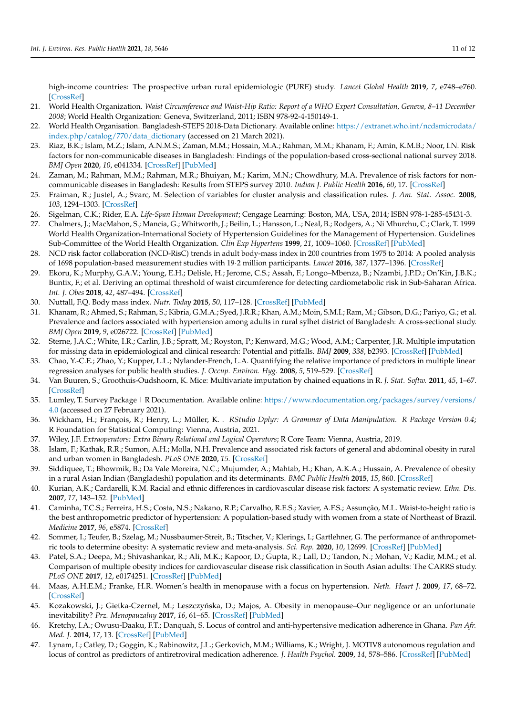high-income countries: The prospective urban rural epidemiologic (PURE) study. *Lancet Global Health* **2019**, *7*, e748–e760. [\[CrossRef\]](http://doi.org/10.1016/S2214-109X(19)30045-2)

- <span id="page-10-0"></span>21. World Health Organization. *Waist Circumference and Waist-Hip Ratio: Report of a WHO Expert Consultation, Geneva, 8–11 December 2008*; World Health Organization: Geneva, Switzerland, 2011; ISBN 978-92-4-150149-1.
- <span id="page-10-1"></span>22. World Health Organisation. Bangladesh-STEPS 2018-Data Dictionary. Available online: [https://extranet.who.int/ncdsmicrodata/](https://extranet.who.int/ncdsmicrodata/index.php/catalog/770/data_dictionary) [index.php/catalog/770/data\\_dictionary](https://extranet.who.int/ncdsmicrodata/index.php/catalog/770/data_dictionary) (accessed on 21 March 2021).
- <span id="page-10-23"></span>23. Riaz, B.K.; Islam, M.Z.; Islam, A.N.M.S.; Zaman, M.M.; Hossain, M.A.; Rahman, M.M.; Khanam, F.; Amin, K.M.B.; Noor, I.N. Risk factors for non-communicable diseases in Bangladesh: Findings of the population-based cross-sectional national survey 2018. *BMJ Open* **2020**, *10*, e041334. [\[CrossRef\]](http://doi.org/10.1136/bmjopen-2020-041334) [\[PubMed\]](http://www.ncbi.nlm.nih.gov/pubmed/33247026)
- <span id="page-10-2"></span>24. Zaman, M.; Rahman, M.M.; Rahman, M.R.; Bhuiyan, M.; Karim, M.N.; Chowdhury, M.A. Prevalence of risk factors for noncommunicable diseases in Bangladesh: Results from STEPS survey 2010. *Indian J. Public Health* **2016**, *60*, 17. [\[CrossRef\]](http://doi.org/10.4103/0019-557X.177290)
- <span id="page-10-3"></span>25. Fraiman, R.; Justel, A.; Svarc, M. Selection of variables for cluster analysis and classification rules. *J. Am. Stat. Assoc.* **2008**, *103*, 1294–1303. [\[CrossRef\]](http://doi.org/10.1198/016214508000000544)
- <span id="page-10-4"></span>26. Sigelman, C.K.; Rider, E.A. *Life-Span Human Development*; Cengage Learning: Boston, MA, USA, 2014; ISBN 978-1-285-45431-3.
- <span id="page-10-5"></span>27. Chalmers, J.; MacMahon, S.; Mancia, G.; Whitworth, J.; Beilin, L.; Hansson, L.; Neal, B.; Rodgers, A.; Ni Mhurchu, C.; Clark, T. 1999 World Health Organization-International Society of Hypertension Guidelines for the Management of Hypertension. Guidelines Sub-Committee of the World Health Organization. *Clin Exp Hypertens* **1999**, *21*, 1009–1060. [\[CrossRef\]](http://doi.org/10.3109/10641969909061028) [\[PubMed\]](http://www.ncbi.nlm.nih.gov/pubmed/10423121)
- <span id="page-10-6"></span>28. NCD risk factor collaboration (NCD-RisC) trends in adult body-mass index in 200 countries from 1975 to 2014: A pooled analysis of 1698 population-based measurement studies with 19·2 million participants. *Lancet* **2016**, *387*, 1377–1396. [\[CrossRef\]](http://doi.org/10.1016/S0140-6736(16)30054-X)
- <span id="page-10-7"></span>29. Ekoru, K.; Murphy, G.A.V.; Young, E.H.; Delisle, H.; Jerome, C.S.; Assah, F.; Longo–Mbenza, B.; Nzambi, J.P.D.; On'Kin, J.B.K.; Buntix, F.; et al. Deriving an optimal threshold of waist circumference for detecting cardiometabolic risk in Sub-Saharan Africa. *Int. J. Obes* **2018**, *42*, 487–494. [\[CrossRef\]](http://doi.org/10.1038/ijo.2017.240)
- <span id="page-10-8"></span>30. Nuttall, F.Q. Body mass index. *Nutr. Today* **2015**, *50*, 117–128. [\[CrossRef\]](http://doi.org/10.1097/NT.0000000000000092) [\[PubMed\]](http://www.ncbi.nlm.nih.gov/pubmed/27340299)
- <span id="page-10-9"></span>31. Khanam, R.; Ahmed, S.; Rahman, S.; Kibria, G.M.A.; Syed, J.R.R.; Khan, A.M.; Moin, S.M.I.; Ram, M.; Gibson, D.G.; Pariyo, G.; et al. Prevalence and factors associated with hypertension among adults in rural sylhet district of Bangladesh: A cross-sectional study. *BMJ Open* **2019**, *9*, e026722. [\[CrossRef\]](http://doi.org/10.1136/bmjopen-2018-026722) [\[PubMed\]](http://www.ncbi.nlm.nih.gov/pubmed/31662350)
- <span id="page-10-10"></span>32. Sterne, J.A.C.; White, I.R.; Carlin, J.B.; Spratt, M.; Royston, P.; Kenward, M.G.; Wood, A.M.; Carpenter, J.R. Multiple imputation for missing data in epidemiological and clinical research: Potential and pitfalls. *BMJ* **2009**, *338*, b2393. [\[CrossRef\]](http://doi.org/10.1136/bmj.b2393) [\[PubMed\]](http://www.ncbi.nlm.nih.gov/pubmed/19564179)
- <span id="page-10-11"></span>33. Chao, Y.-C.E.; Zhao, Y.; Kupper, L.L.; Nylander-French, L.A. Quantifying the relative importance of predictors in multiple linear regression analyses for public health studies. *J. Occup. Environ. Hyg.* **2008**, *5*, 519–529. [\[CrossRef\]](http://doi.org/10.1080/15459620802225481)
- <span id="page-10-12"></span>34. Van Buuren, S.; Groothuis-Oudshoorn, K. Mice: Multivariate imputation by chained equations in R. *J. Stat. Softw.* **2011**, *45*, 1–67. [\[CrossRef\]](http://doi.org/10.18637/jss.v045.i03)
- 35. Lumley, T. Survey Package | R Documentation. Available online: [https://www.rdocumentation.org/packages/survey/versions/](https://www.rdocumentation.org/packages/survey/versions/4.0) [4.0](https://www.rdocumentation.org/packages/survey/versions/4.0) (accessed on 27 February 2021).
- 36. Wickham, H.; François, R.; Henry, L.; Müller, K. *. RStudio Dplyr: A Grammar of Data Manipulation. R Package Version 0.4*; R Foundation for Statistical Computing: Vienna, Austria, 2021.
- <span id="page-10-13"></span>37. Wiley, J.F. *Extraoperators: Extra Binary Relational and Logical Operators*; R Core Team: Vienna, Austria, 2019.
- <span id="page-10-14"></span>38. Islam, F.; Kathak, R.R.; Sumon, A.H.; Molla, N.H. Prevalence and associated risk factors of general and abdominal obesity in rural and urban women in Bangladesh. *PLoS ONE* **2020**, *15*. [\[CrossRef\]](http://doi.org/10.1371/journal.pone.0233754)
- <span id="page-10-15"></span>39. Siddiquee, T.; Bhowmik, B.; Da Vale Moreira, N.C.; Mujumder, A.; Mahtab, H.; Khan, A.K.A.; Hussain, A. Prevalence of obesity in a rural Asian Indian (Bangladeshi) population and its determinants. *BMC Public Health* **2015**, *15*, 860. [\[CrossRef\]](http://doi.org/10.1186/s12889-015-2193-4)
- <span id="page-10-16"></span>40. Kurian, A.K.; Cardarelli, K.M. Racial and ethnic differences in cardiovascular disease risk factors: A systematic review. *Ethn. Dis.* **2007**, *17*, 143–152. [\[PubMed\]](http://www.ncbi.nlm.nih.gov/pubmed/17274224)
- <span id="page-10-17"></span>41. Caminha, T.C.S.; Ferreira, H.S.; Costa, N.S.; Nakano, R.P.; Carvalho, R.E.S.; Xavier, A.F.S.; Assunção, M.L. Waist-to-height ratio is the best anthropometric predictor of hypertension: A population-based study with women from a state of Northeast of Brazil. *Medicine* **2017**, *96*, e5874. [\[CrossRef\]](http://doi.org/10.1097/MD.0000000000005874)
- <span id="page-10-18"></span>42. Sommer, I.; Teufer, B.; Szelag, M.; Nussbaumer-Streit, B.; Titscher, V.; Klerings, I.; Gartlehner, G. The performance of anthropometric tools to determine obesity: A systematic review and meta-analysis. *Sci. Rep.* **2020**, *10*, 12699. [\[CrossRef\]](http://doi.org/10.1038/s41598-020-69498-7) [\[PubMed\]](http://www.ncbi.nlm.nih.gov/pubmed/32728050)
- <span id="page-10-19"></span>43. Patel, S.A.; Deepa, M.; Shivashankar, R.; Ali, M.K.; Kapoor, D.; Gupta, R.; Lall, D.; Tandon, N.; Mohan, V.; Kadir, M.M.; et al. Comparison of multiple obesity indices for cardiovascular disease risk classification in South Asian adults: The CARRS study. *PLoS ONE* **2017**, *12*, e0174251. [\[CrossRef\]](http://doi.org/10.1371/journal.pone.0174251) [\[PubMed\]](http://www.ncbi.nlm.nih.gov/pubmed/28448582)
- <span id="page-10-20"></span>44. Maas, A.H.E.M.; Franke, H.R. Women's health in menopause with a focus on hypertension. *Neth. Heart J.* **2009**, *17*, 68–72. [\[CrossRef\]](http://doi.org/10.1007/BF03086220)
- <span id="page-10-21"></span>45. Kozakowski, J.; Gietka-Czernel, M.; Leszczyńska, D.; Majos, A. Obesity in menopause–Our negligence or an unfortunate inevitability? *Prz. Menopauzalny* **2017**, *16*, 61–65. [\[CrossRef\]](http://doi.org/10.5114/pm.2017.68594) [\[PubMed\]](http://www.ncbi.nlm.nih.gov/pubmed/28721132)
- <span id="page-10-22"></span>46. Kretchy, I.A.; Owusu-Daaku, F.T.; Danquah, S. Locus of control and anti-hypertensive medication adherence in Ghana. *Pan Afr. Med. J.* **2014**, *17*, 13. [\[CrossRef\]](http://doi.org/10.11604/pamjs.supp.2014.17.1.3433) [\[PubMed\]](http://www.ncbi.nlm.nih.gov/pubmed/24624246)
- 47. Lynam, I.; Catley, D.; Goggin, K.; Rabinowitz, J.L.; Gerkovich, M.M.; Williams, K.; Wright, J. MOTIV8 autonomous regulation and locus of control as predictors of antiretroviral medication adherence. *J. Health Psychol.* **2009**, *14*, 578–586. [\[CrossRef\]](http://doi.org/10.1177/1359105309103577) [\[PubMed\]](http://www.ncbi.nlm.nih.gov/pubmed/19383658)